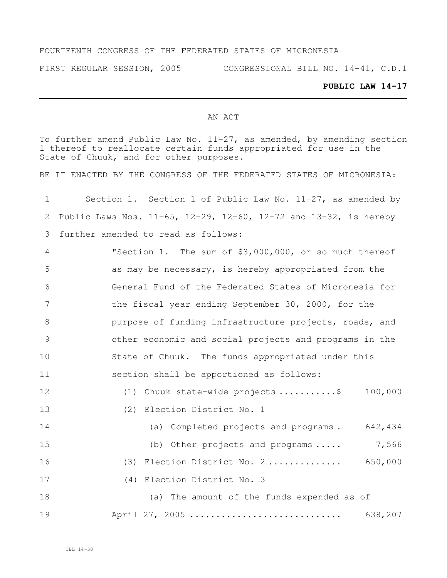### FOURTEENTH CONGRESS OF THE FEDERATED STATES OF MICRONESIA

FIRST REGULAR SESSION, 2005 CONGRESSIONAL BILL NO. 14-41, C.D.1

# **PUBLIC LAW 14-17**

#### AN ACT

To further amend Public Law No. 11-27, as amended, by amending section thereof to reallocate certain funds appropriated for use in the State of Chuuk, and for other purposes.

BE IT ENACTED BY THE CONGRESS OF THE FEDERATED STATES OF MICRONESIA:

| $\mathbf{1}$ | Section 1. Section 1 of Public Law No. $11-27$ , as amended by   |
|--------------|------------------------------------------------------------------|
| 2            | Public Laws Nos. 11-65, 12-29, 12-60, 12-72 and 13-32, is hereby |
| 3            | further amended to read as follows:                              |
| 4            | "Section 1. The sum of \$3,000,000, or so much thereof           |
| 5            | as may be necessary, is hereby appropriated from the             |
| 6            | General Fund of the Federated States of Micronesia for           |
| 7            | the fiscal year ending September 30, 2000, for the               |
| 8            | purpose of funding infrastructure projects, roads, and           |
| 9            | other economic and social projects and programs in the           |
| 10           | State of Chuuk. The funds appropriated under this                |
| 11           | section shall be apportioned as follows:                         |
| 12           | (1) Chuuk state-wide projects \$<br>100,000                      |
| 13           | (2) Election District No. 1                                      |
| 14           | (a) Completed projects and programs. 642,434                     |
| 15           | 7,566<br>(b) Other projects and programs                         |
| 16           | (3) Election District No. 2 650,000                              |
| 17           | (4) Election District No. 3                                      |
| 18           | (a) The amount of the funds expended as of                       |
| 19           | April 27, 2005<br>638,207                                        |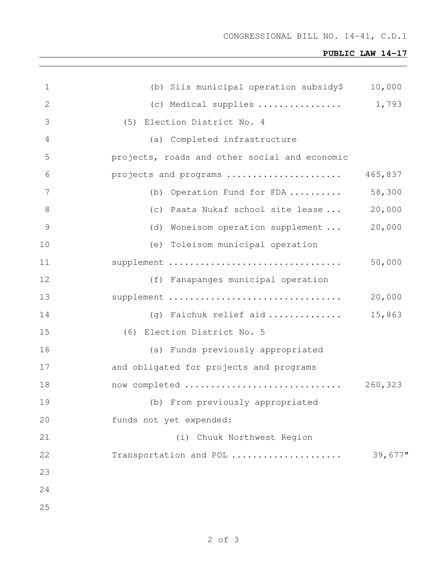## **PUBLIC LAW 14-17**

| $\mathbf 1$   | (b) Siis municipal operation subsidy\$        | 10,000     |
|---------------|-----------------------------------------------|------------|
| 2             | (c) Medical supplies                          | 1,793      |
| 3             | (5) Election District No. 4                   |            |
| 4             | (a) Completed infrastructure                  |            |
| 5             | projects, roads and other social and economic |            |
| 6             | projects and programs                         | 465,837    |
| 7             | (b) Operation Fund for FDA                    | 58,300     |
| $\,8\,$       | (c) Paata Nukaf school site lease             | 20,000     |
| $\mathcal{G}$ | (d) Woneisom operation supplement             | 20,000     |
| 10            | (e) Toleisom municipal operation              |            |
| 11            | supplement                                    | 50,000     |
| 12            | (f) Fanapanges municipal operation            |            |
| 13            | supplement                                    | 20,000     |
| 14            | (g) Faichuk relief aid                        | 15,863     |
| 15            | (6) Election District No. 5                   |            |
| 16            | (a) Funds previously appropriated             |            |
| 17            | and obligated for projects and programs       |            |
| 18            | now completed                                 | 260,323    |
| 19            | (b) From previously appropriated              |            |
| 20            | funds not yet expended:                       |            |
| 21            | (i) Chuuk Northwest Region                    |            |
| 22            | Transportation and POL                        | $39,677$ " |
| 23            |                                               |            |
| 24            |                                               |            |
| 25            |                                               |            |